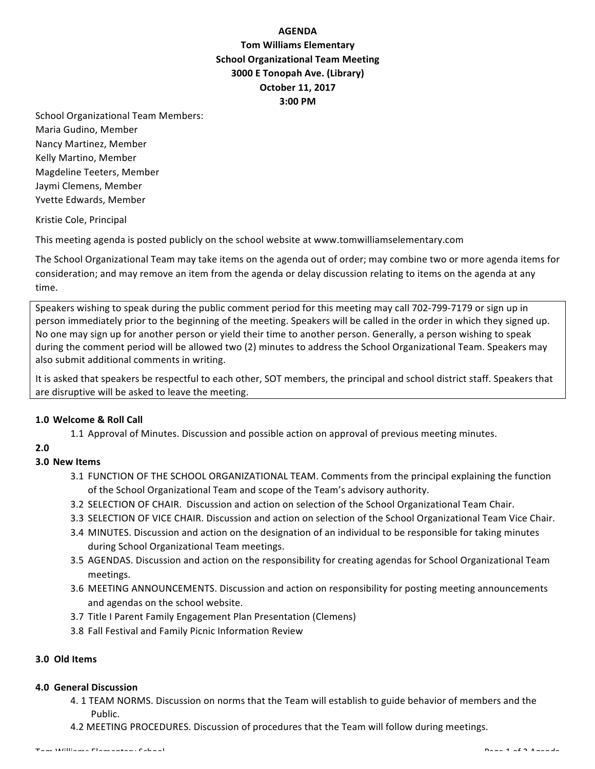# **AGENDA Tom Williams Elementary School Organizational Team Meeting 3000 E Tonopah Ave. (Library) October 11, 2017 3:00 PM**

School Organizational Team Members: Maria Gudino, Member Nancy Martinez, Member Kelly Martino, Member Magdeline Teeters, Member Jaymi Clemens, Member Yvette Edwards, Member

Kristie Cole, Principal

This meeting agenda is posted publicly on the school website at www.tomwilliamselementary.com

The School Organizational Team may take items on the agenda out of order; may combine two or more agenda items for consideration; and may remove an item from the agenda or delay discussion relating to items on the agenda at any time.

Speakers wishing to speak during the public comment period for this meeting may call 702-799-7179 or sign up in person immediately prior to the beginning of the meeting. Speakers will be called in the order in which they signed up. No one may sign up for another person or yield their time to another person. Generally, a person wishing to speak during the comment period will be allowed two (2) minutes to address the School Organizational Team. Speakers may also submit additional comments in writing.

It is asked that speakers be respectful to each other, SOT members, the principal and school district staff. Speakers that are disruptive will be asked to leave the meeting.

### **1.0 Welcome & Roll Call**

1.1 Approval of Minutes. Discussion and possible action on approval of previous meeting minutes.

### **2.0**

### **3.0 New Items**

- 3.1 FUNCTION OF THE SCHOOL ORGANIZATIONAL TEAM. Comments from the principal explaining the function of the School Organizational Team and scope of the Team's advisory authority.
- 3.2 SELECTION OF CHAIR. Discussion and action on selection of the School Organizational Team Chair.
- 3.3 SELECTION OF VICE CHAIR. Discussion and action on selection of the School Organizational Team Vice Chair.
- 3.4 MINUTES. Discussion and action on the designation of an individual to be responsible for taking minutes during School Organizational Team meetings.
- 3.5 AGENDAS. Discussion and action on the responsibility for creating agendas for School Organizational Team meetings.
- 3.6 MEETING ANNOUNCEMENTS. Discussion and action on responsibility for posting meeting announcements and agendas on the school website.
- 3.7 Title I Parent Family Engagement Plan Presentation (Clemens)
- 3.8 Fall Festival and Family Picnic Information Review

### **3.0 Old Items**

#### **4.0 General Discussion**

- 4. 1 TEAM NORMS. Discussion on norms that the Team will establish to guide behavior of members and the Public.
- 4.2 MEETING PROCEDURES. Discussion of procedures that the Team will follow during meetings.